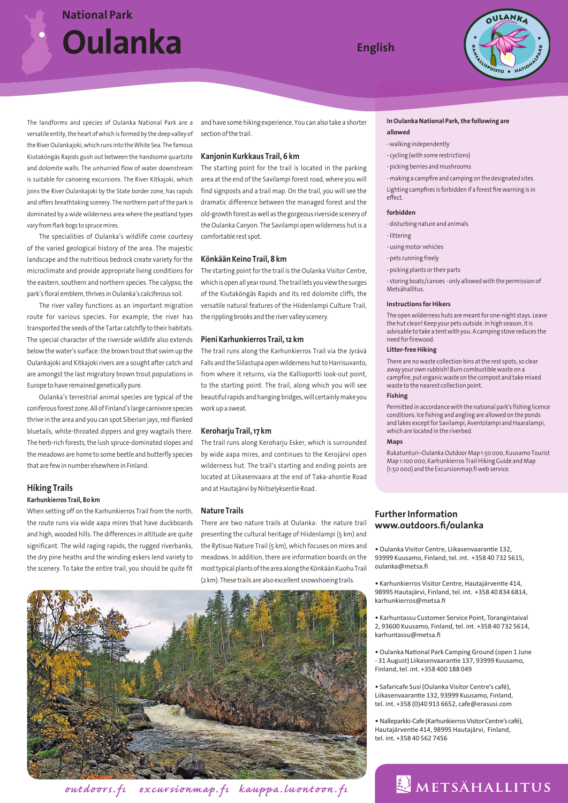## **Oulanka National Park**

#### **English**



The landforms and species of Oulanka National Park are a versatile entity, the heart of which is formed by the deep valley of the River Oulankajoki, which runs into the White Sea. The famous Kiutaköngäs Rapids gush out between the handsome quartzite and dolomite walls. The unhurried flow of water downstream is suitable for canoeing excursions. The River Kitkajoki, which joins the River Oulankajoki by the State border zone, has rapids and offers breathtaking scenery. The northern part of the park is dominated by a wide wilderness area where the peatland types vary from flark bogs to spruce mires.

The specialities of Oulanka's wildlife come courtesy of the varied geological history of the area. The majestic landscape and the nutritious bedrock create variety for the microclimate and provide appropriate living conditions for the eastern, southern and northern species. The calypso, the park's floral emblem, thrives in Oulanka's calciferous soil.

The river valley functions as an important migration route for various species. For example, the river has transported the seeds of the Tartar catchfly to their habitats. The special character of the riverside wildlife also extends below the water's surface: the brown trout that swim up the Oulankajoki and Kitkajoki rivers are a sought after catch and are amongst the last migratory brown trout populations in Europe to have remained genetically pure.

Oulanka's terrestrial animal species are typical of the coniferous forest zone. All of Finland's large carnivore species thrive in the area and you can spot Siberian jays, red-flanked bluetails, white-throated dippers and grey wagtails there. The herb-rich forests, the lush spruce-dominated slopes and the meadows are home to some beetle and butterfly species that are few in number elsewhere in Finland.

#### **Hiking Trails**

#### **Karhunkierros Trail, 80 km**

When setting off on the Karhunkierros Trail from the north, the route runs via wide aapa mires that have duckboards and high, wooded hills. The differences in altitude are quite significant. The wild raging rapids, the rugged riverbanks, the dry pine heaths and the winding eskers lend variety to the scenery. To take the entire trail, you should be quite fit

and have some hiking experience. You can also take a shorter section of the trail.

#### **Kanjonin Kurkkaus Trail, 6 km**

The starting point for the trail is located in the parking area at the end of the Savilampi forest road, where you will find signposts and a trail map. On the trail, you will see the dramatic difference between the managed forest and the old-growth forest as well as the gorgeous riverside scenery of the Oulanka Canyon. The Savilampi open wilderness hut is a comfortable rest spot.

#### **Könkään Keino Trail, 8 km**

The starting point for the trail is the Oulanka Visitor Centre, which is open all year round. The trail lets you view the surges of the Kiutaköngäs Rapids and its red dolomite cliffs, the versatile natural features of the Hiidenlampi Culture Trail, the rippling brooks and the river valley scenery.

#### **Pieni Karhunkierros Trail, 12 km**

The trail runs along the Karhunkierros Trail via the Jyrävä Falls and the Siilastupa open wilderness hut to Harrisuvanto, from where it returns, via the Kallioportti look-out point, to the starting point. The trail, along which you will see beautiful rapids and hanging bridges, will certainly make you work up a sweat.

#### **Keroharju Trail, 17 km**

The trail runs along Keroharju Esker, which is surrounded by wide aapa mires, and continues to the Kerojärvi open wilderness hut. The trail's starting and ending points are located at Liikasenvaara at the end of Taka-ahontie Road and at Hautajärvi by Niitselyksentie Road.

#### **Nature Trails**

There are two nature trails at Oulanka: the nature trail presenting the cultural heritage of Hiidenlampi (5 km) and the Rytisuo Nature Trail (5 km), which focuses on mires and meadows. In addition, there are information boards on the most typical plants of the area along the Könkään Kuohu Trail (2 km). These trails are also excellent snowshoeing trails.



*outdoors.fı excursionmap.fı kauppa.luontoon.fı*

#### **In Oulanka National Park, the following are**

#### **allowed**

- walking independently
- cycling (with some restrictions)
- picking berries and mushrooms

- making a campfire and camping on the designated sites. Lighting campfires is forbidden if a forest fire warning is in effect.

#### **forbidden**

- disturbing nature and animals
- littering
- using motor vehicles
- pets running freely
- picking plants or their parts

- storing boats/canoes - only allowed with the permission of Metsähallitus.

#### **Instructions for Hikers**

The open wilderness huts are meant for one-night stays. Leave the hut clean! Keep your pets outside. In high season, it is advisable to take a tent with you. A camping stove reduces the need for firewood.

#### **Litter-free Hiking**

There are no waste collection bins at the rest spots, so clear away your own rubbish! Burn combustible waste on a campfire, put organic waste on the compost and take mixed waste to the nearest collection point.

#### **Fishing**

Permitted in accordance with the national park's fishing licence conditions. Ice fishing and angling are allowed on the ponds and lakes except for Savilampi, Aventolampi and Haaralampi, which are located in the riverbed.

#### **Maps**

Rukatunturi–Oulanka Outdoor Map 1:50 000, Kuusamo Tourist Map 1:100 000, Karhunkierros Trail Hiking Guide and Map (1:50 000) and the Excursionmap.fi web service.

#### **Further Information www.outdoors.fi /oulanka**

• Oulanka Visitor Centre, Liikasenvaarantie 132, 93999 Kuusamo, Finland, tel. int. +358 40 732 5615, oulanka@metsa.fi

• Karhunkierros Visitor Centre, Hautajärventie 414, 98995 Hautajärvi, Finland, tel. int. +358 40 834 6814, karhunkierros@metsa.fi

• Karhuntassu Customer Service Point, Torangintaival 2, 93600 Kuusamo, Finland, tel. int. +358 40 732 5614, karhuntassu@metsa.fi

• Oulanka National Park Camping Ground (open 1 June - 31 August) Liikasenvaarantie 137, 93999 Kuusamo, Finland, tel. int. +358 400 188 049

• Safaricafe Susi (Oulanka Visitor Centre's café), Liikasenvaarantie 132, 93999 Kuusamo, Finland, tel. int. +358 (0)40 913 6652, cafe@erasusi.com

• Nalleparkki-Cafe (Karhunkierros Visitor Centre's café), Hautajärventie 414, 98995 Hautajärvi, Finland, tel. int. +358 40 562 7456

### METSÄHALLITUS